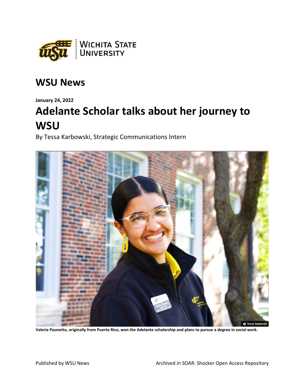

## **WSU News**

**January 24, 2022**

## **Adelante Scholar talks about her journey to WSU**

By Tessa Karbowski, Strategic Communications Intern



**Valeria Paunetto, originally from Puerto Rico, won the Adelante scholarship and plans to pursue a degree in social work.**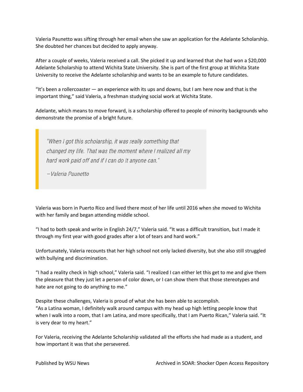Valeria Paunetto was sifting through her email when she saw an application for the Adelante Scholarship. She doubted her chances but decided to apply anyway.

After a couple of weeks, Valeria received a call. She picked it up and learned that she had won a \$20,000 Adelante Scholarship to attend Wichita State University. She is part of the first group at Wichita State University to receive the Adelante scholarship and wants to be an example to future candidates.

"It's been a rollercoaster — an experience with its ups and downs, but I am here now and that is the important thing," said Valeria, a freshman studying social work at Wichita State.

Adelante, which means to move forward, is a scholarship offered to people of minority backgrounds who demonstrate the promise of a bright future.

"When I got this scholarship, it was really something that changed my life. That was the moment where I realized all my hard work paid off and if I can do it anyone can."

-Valeria Paunetto

Valeria was born in Puerto Rico and lived there most of her life until 2016 when she moved to Wichita with her family and began attending middle school.

"I had to both speak and write in English 24/7," Valeria said. "It was a difficult transition, but I made it through my first year with good grades after a lot of tears and hard work."

Unfortunately, Valeria recounts that her high school not only lacked diversity, but she also still struggled with bullying and discrimination.

"I had a reality check in high school," Valeria said. "I realized I can either let this get to me and give them the pleasure that they just let a person of color down, or I can show them that those stereotypes and hate are not going to do anything to me."

Despite these challenges, Valeria is proud of what she has been able to accomplish. "As a Latina woman, I definitely walk around campus with my head up high letting people know that when I walk into a room, that I am Latina, and more specifically, that I am Puerto Rican," Valeria said. "It is very dear to my heart."

For Valeria, receiving the Adelante Scholarship validated all the efforts she had made as a student, and how important it was that she persevered.